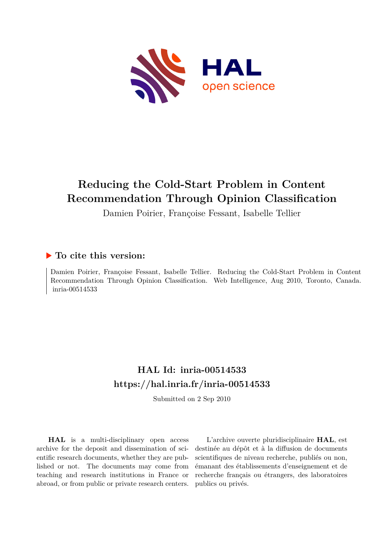

# **Reducing the Cold-Start Problem in Content Recommendation Through Opinion Classification**

Damien Poirier, Françoise Fessant, Isabelle Tellier

# **To cite this version:**

Damien Poirier, Françoise Fessant, Isabelle Tellier. Reducing the Cold-Start Problem in Content Recommendation Through Opinion Classification. Web Intelligence, Aug 2010, Toronto, Canada. inria-00514533

# **HAL Id: inria-00514533 <https://hal.inria.fr/inria-00514533>**

Submitted on 2 Sep 2010

**HAL** is a multi-disciplinary open access archive for the deposit and dissemination of scientific research documents, whether they are published or not. The documents may come from teaching and research institutions in France or abroad, or from public or private research centers.

L'archive ouverte pluridisciplinaire **HAL**, est destinée au dépôt et à la diffusion de documents scientifiques de niveau recherche, publiés ou non, émanant des établissements d'enseignement et de recherche français ou étrangers, des laboratoires publics ou privés.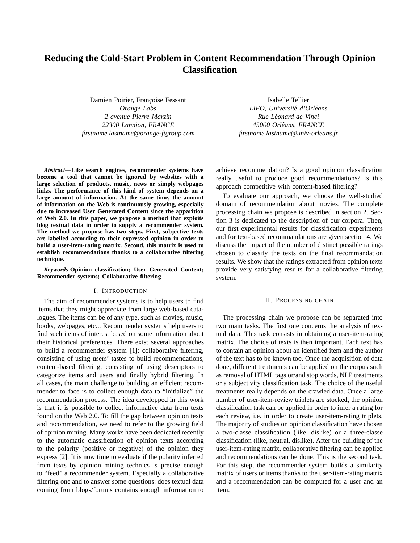# **Reducing the Cold-Start Problem in Content Recommendation Through Opinion Classification**

Damien Poirier, Françoise Fessant *Orange Labs 2 avenue Pierre Marzin 22300 Lannion, FRANCE firstname.lastname@orange-ftgroup.com*

*Abstract***—Like search engines, recommender systems have become a tool that cannot be ignored by websites with a large selection of products, music, news or simply webpages links. The performance of this kind of system depends on a large amount of information. At the same time, the amount of information on the Web is continuously growing, especially due to increased User Generated Content since the apparition of Web 2.0. In this paper, we propose a method that exploits blog textual data in order to supply a recommender system. The method we propose has two steps. First, subjective texts are labelled according to their expressed opinion in order to build a user-item-rating matrix. Second, this matrix is used to establish recommendations thanks to a collaborative filtering technique.**

*Keywords***-Opinion classification; User Generated Content; Recommender systems; Collaborative filtering**

#### I. INTRODUCTION

The aim of recommender systems is to help users to find items that they might appreciate from large web-based catalogues. The items can be of any type, such as movies, music, books, webpages, etc... Recommender systems help users to find such items of interest based on some information about their historical preferences. There exist several approaches to build a recommender system [1]: collaborative filtering, consisting of using users' tastes to build recommendations, content-based filtering, consisting of using descriptors to categorize items and users and finally hybrid filtering. In all cases, the main challenge to building an efficient recommender to face is to collect enough data to "initialize" the recommendation process. The idea developped in this work is that it is possible to collect informative data from texts found on the Web 2.0. To fill the gap between opinion texts and recommendation, we need to refer to the growing field of opinion mining. Many works have been dedicated recently to the automatic classification of opinion texts according to the polarity (positive or negative) of the opinion they express [2]. It is now time to evaluate if the polarity inferred from texts by opinion mining technics is precise enough to "feed" a recommender system. Especially a collaborative filtering one and to answer some questions: does textual data coming from blogs/forums contains enough information to

Isabelle Tellier *LIFO, Universite d'Orl ´ eans ´ Rue Leonard de Vinci ´ 45000 Orleans, FRANCE ´ firstname.lastname@univ-orleans.fr*

achieve recommendation? Is a good opinion classification really useful to produce good recommendations? Is this approach competitive with content-based filtering?

To evaluate our approach, we choose the well-studied domain of recommendation about movies. The complete processing chain we propose is described in section 2. Section 3 is dedicated to the description of our corpora. Then, our first experimental results for classification experiments and for text-based recommandations are given section 4. We discuss the impact of the number of distinct possible ratings chosen to classify the texts on the final recommandation results. We show that the ratings extracted from opinion texts provide very satisfying results for a collaborative filtering system.

#### II. PROCESSING CHAIN

The processing chain we propose can be separated into two main tasks. The first one concerns the analysis of textual data. This task consists in obtaining a user-item-rating matrix. The choice of texts is then important. Each text has to contain an opinion about an identified item and the author of the text has to be known too. Once the acquisition of data done, different treatments can be applied on the corpus such as removal of HTML tags or/and stop words, NLP treatments or a subjectivity classification task. The choice of the useful treatments really depends on the crawled data. Once a large number of user-item-review triplets are stocked, the opinion classification task can be applied in order to infer a rating for each review, i.e. in order to create user-item-rating triplets. The majority of studies on opinion classification have chosen a two-classe classification (like, dislike) or a three-classe classification (like, neutral, dislike). After the building of the user-item-rating matrix, collaborative filtering can be applied and recommendations can be done. This is the second task. For this step, the recommender system builds a similarity matrix of users or items thanks to the user-item-rating matrix and a recommendation can be computed for a user and an item.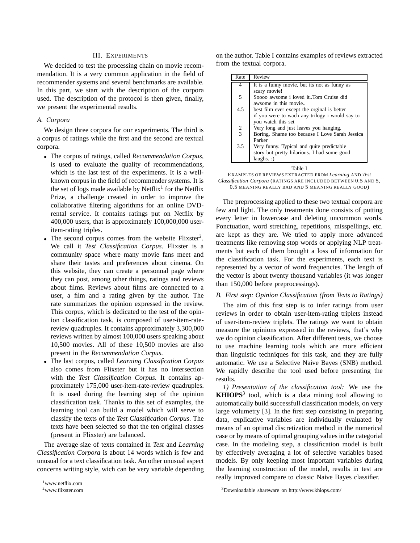### III. EXPERIMENTS

We decided to test the processing chain on movie recommendation. It is a very common application in the field of recommender systems and several benchmarks are available. In this part, we start with the description of the corpora used. The description of the protocol is then given, finally, we present the experimental results.

## *A. Corpora*

We design three corpora for our experiments. The third is a corpus of ratings while the first and the second are textual corpora.

- The corpus of ratings, called *Recommendation Corpus*, is used to evaluate the quality of recommendations, which is the last test of the experiments. It is a wellknown corpus in the field of recommender systems. It is the set of logs made available by Netflix<sup>1</sup> for the Netflix Prize, a challenge created in order to improve the collaborative filtering algorithms for an online DVDrental service. It contains ratings put on Netflix by 400,000 users, that is approximately 100,000,000 useritem-rating triples.
- The second corpus comes from the website Flixster<sup>2</sup>. We call it *Test Classification Corpus*. Flixster is a community space where many movie fans meet and share their tastes and preferences about cinema. On this website, they can create a personnal page where they can post, among other things, ratings and reviews about films. Reviews about films are connected to a user, a film and a rating given by the author. The rate summarizes the opinion expressed in the review. This corpus, which is dedicated to the test of the opinion classification task, is composed of user-item-ratereview quadruples. It contains approximately 3,300,000 reviews written by almost 100,000 users speaking about 10,500 movies. All of these 10,500 movies are also present in the *Recommendation Corpus*.
- The last corpus, called *Learning Classification Corpus* also comes from Flixster but it has no intersection with the *Test Classification Corpus*. It contains approximately 175,000 user-item-rate-review quadruples. It is used during the learning step of the opinion classification task. Thanks to this set of examples, the learning tool can build a model which will serve to classify the texts of the *Test Classification Corpus*. The texts have been selected so that the ten original classes (present in Flixster) are balanced.

The average size of texts contained in *Test* and *Learning Classification Corpora* is about 14 words which is few and unusual for a text classification task. An other unusual aspect concerns writing style, wich can be very variable depending on the author. Table I contains examples of reviews extracted from the textual corpora.

| Rate          | Review                                         |
|---------------|------------------------------------------------|
| 4             | It is a funny movie, but its not as funny as   |
|               | scary movie!                                   |
| 5             | Soooo awsome i loved it. Tom Cruise did        |
|               | awsome in this movie                           |
| 4.5           | best film ever except the orginal is better    |
|               | if you were to wach any trilogy i would say to |
|               | you watch this set                             |
| $\frac{2}{3}$ | Very long and just leaves you hanging.         |
|               | Boring. Shame too because I Love Sarah Jessica |
|               | Parker                                         |
| 3.5           | Very funny. Typical and quite predictable      |
|               | story but pretty hilarious. I had some good    |
|               | $laughs.$ :                                    |
|               | Table 1                                        |

EXAMPLES OF REVIEWS EXTRACTED FROM *Learning* AND *Test Classification Corpora* (RATINGS ARE INCLUDED BETWEEN 0.5 AND 5, 0.5 MEANING REALLY BAD AND 5 MEANING REALLY GOOD)

The preprocessing applied to these two textual corpora are few and light. The only treatments done consists of putting every letter in lowercase and deleting uncommon words. Ponctuation, word stretching, repetitions, misspellings, etc. are kept as they are. We tried to apply more advanced treatments like removing stop words or applying NLP treatments but each of them brought a loss of information for the classification task. For the experiments, each text is represented by a vector of word frequencies. The length of the vector is about twenty thousand variables (it was longer than 150,000 before preprocessings).

# *B. First step: Opinion Classification (from Texts to Ratings)*

The aim of this first step is to infer ratings from user reviews in order to obtain user-item-rating triplets instead of user-item-review triplets. The ratings we want to obtain measure the opinions expressed in the reviews, that's why we do opinion classification. After different tests, we choose to use machine learning tools which are more efficient than linguistic techniques for this task, and they are fully automatic. We use a Selective Naive Bayes (SNB) method. We rapidly describe the tool used before presenting the results.

*1) Presentation of the classification tool:* We use the **KHIOPS**<sup>3</sup> tool, which is a data mining tool allowing to automatically build successfull classification models, on very large volumetry [3]. In the first step consisting in preparing data, explicative variables are individually evaluated by means of an optimal discretization method in the numerical case or by means of optimal grouping values in the categorial case. In the modeling step, a classification model is built by effectively averaging a lot of selective variables based models. By only keeping most important variables during the learning construction of the model, results in test are really improved compare to classic Naive Bayes classifier.

<sup>1</sup>www.netflix.com

<sup>2</sup>www.flixster.com

<sup>3</sup>Downloadable shareware on http://www.khiops.com/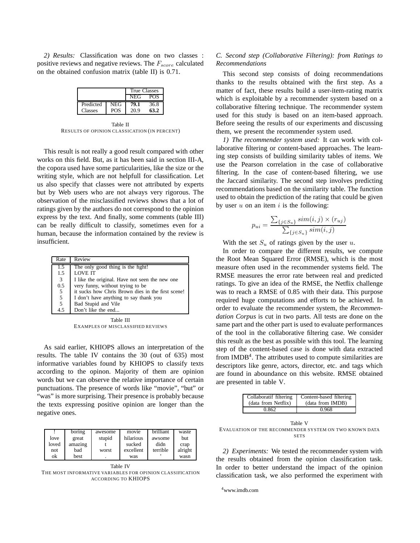*2) Results:* Classification was done on two classes : positive reviews and negative reviews. The  $F_{score}$  calculated on the obtained confusion matrix (table II) is 0.71.

|           |            | True Classes |      |
|-----------|------------|--------------|------|
|           |            | NEG          | POS  |
| Predicted | <b>NEG</b> | 79.1         | 36.8 |
| Classes   | <b>POS</b> | 20.9         | 63.2 |

Table II RESULTS OF OPINION CLASSICATION (IN PERCENT)

This result is not really a good result compared with other works on this field. But, as it has been said in section III-A, the copora used have some particularities, like the size or the writing style, which are not helpfull for classification. Let us also specify that classes were not attributed by experts but by Web users who are not always very rigorous. The observation of the misclassified reviews shows that a lot of ratings given by the authors do not correspond to the opinion express by the text. And finally, some comments (table III) can be really difficult to classify, sometimes even for a human, because the information contained by the review is insufficient.

| Rate            | Review                                            |
|-----------------|---------------------------------------------------|
| 1.5             | The only good thing is the fight!                 |
| 1.5             | <b>LOVE IT</b>                                    |
| 3               | I like the original. Have not seen the new one    |
| 0.5             | very funny, without trying to be                  |
| $5\overline{)}$ | it sucks how Chris Brown dies in the first scene! |
| 5               | I don't have anything to say thank you            |
| 5               | Bad Stupid and Vile                               |
| 4.5             | Don't like the end                                |

Table III EXAMPLES OF MISCLASSIFIED REVIEWS

As said earlier, KHIOPS allows an interpretation of the results. The table IV contains the 30 (out of 635) most informative variables found by KHIOPS to classify texts according to the opinon. Majority of them are opinion words but we can observe the relative importance of certain punctuations. The presence of words like "movie", "but" or "was" is more surprising. Their presence is probably because the texts expressing positive opinion are longer than the negative ones.

|       | boring  | awesome | movie     | <b>brilliant</b> | waste   |
|-------|---------|---------|-----------|------------------|---------|
| love  | great   | stupid  | hilarious | awsome           | but     |
| loved | amazing |         | sucked    | didn             | crap    |
| not   | bad     | worst   | excellent | terrible         | alright |
| ok    | best    | ٠       | was       |                  | wasn    |

Table IV THE MOST INFORMATIVE VARIABLES FOR OPINION CLASSIFICATION ACCORDING TO KHIOPS

## *C. Second step (Collaborative Filtering): from Ratings to Recommendations*

This second step consists of doing recommendations thanks to the results obtained with the first step. As a matter of fact, these results build a user-item-rating matrix which is exploitable by a recommender system based on a collaborative filtering technique. The recommender system used for this study is based on an item-based approach. Before seeing the results of our experiments and discussing them, we present the recommender system used.

*1) The recommender system used:* It can work with collaborative filtering or content-based approaches. The learning step consists of building similarity tables of items. We use the Pearson correlation in the case of collaborative filtering. In the case of content-based filtering, we use the Jaccard similarity. The second step involves predicting recommendations based on the similarity table. The function used to obtain the prediction of the rating that could be given by user  $u$  on an item  $i$  is the following:

$$
p_{ui} = \frac{\sum_{\{j \in S_u\}} sim(i, j) \times (r_{uj})}{\sum_{\{j \in S_u\}} sim(i, j)}
$$

With the set  $S_u$  of ratings given by the user u.

In order to compare the different results, we compute the Root Mean Squared Error (RMSE), which is the most measure often used in the recommender systems field. The RMSE measures the error rate between real and predicted ratings. To give an idea of the RMSE, the Netflix challenge was to reach a RMSE of 0.85 with their data. This purpose required huge computations and efforts to be achieved. In order to evaluate the recommender system, the *Recommendation Corpus* is cut in two parts. All tests are done on the same part and the other part is used to evaluate performances of the tool in the collaborative filtering case. We consider this result as the best as possible with this tool. The learning step of the content-based case is done with data extracted from IMDB<sup>4</sup>. The attributes used to compute similarities are descriptors like genre, actors, director, etc. and tags which are found in aboundance on this website. RMSE obtained are presented in table V.

| (data from Netflix)<br>(data from IMDB) | Content-based filtering |
|-----------------------------------------|-------------------------|
|                                         |                         |
| 0.968<br>0.862                          |                         |

Table V EVALUATION OF THE RECOMMENDER SYSTEM ON TWO KNOWN DATA **SETS** 

*2) Experiments:* We tested the recommender system with the results obtained from the opinion classification task. In order to better understand the impact of the opinion classification task, we also performed the experiment with